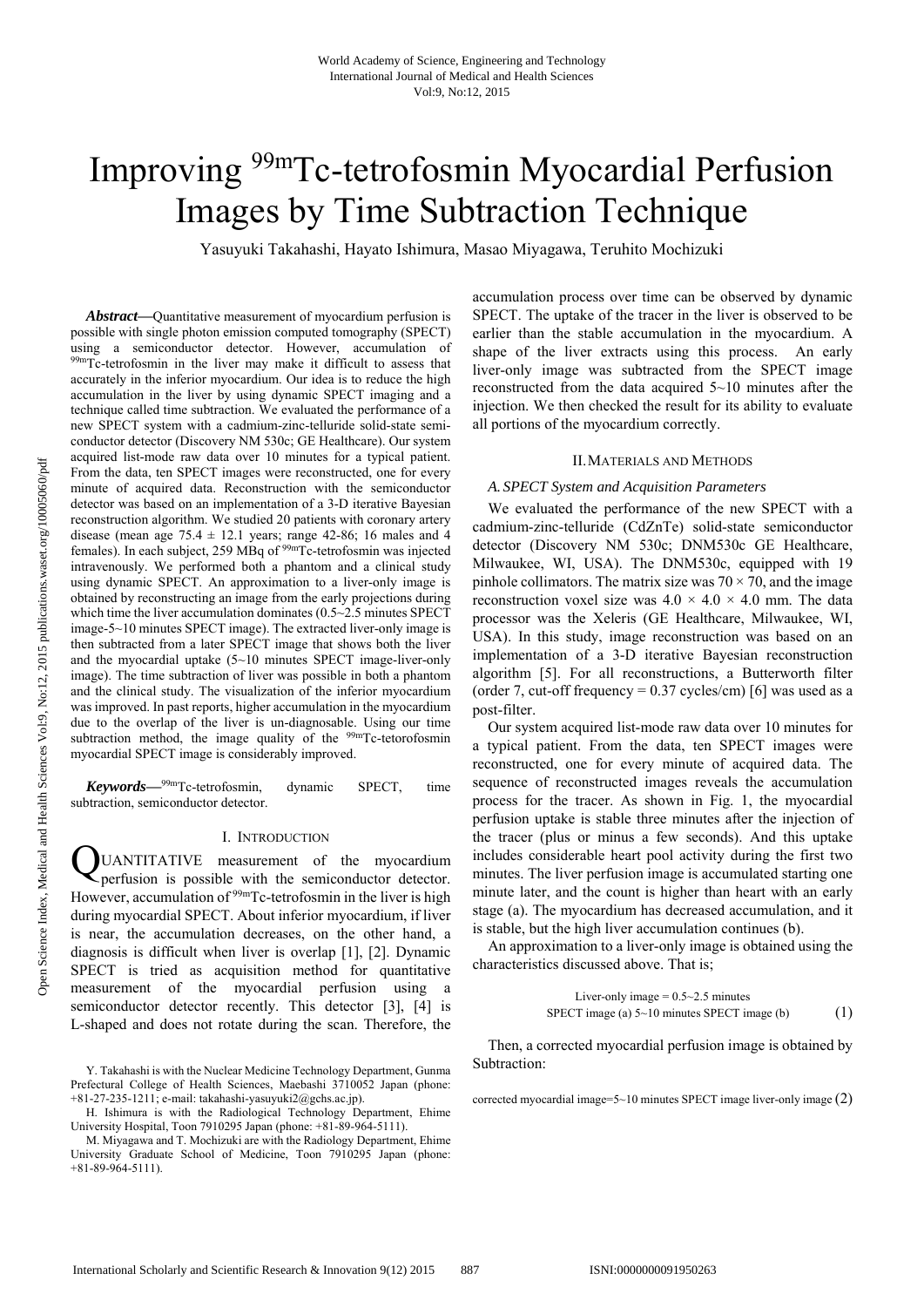# Improving 99mTc-tetrofosmin Myocardial Perfusion Images by Time Subtraction Technique

Yasuyuki Takahashi, Hayato Ishimura, Masao Miyagawa, Teruhito Mochizuki

*Abstract***—**Quantitative measurement of myocardium perfusion is possible with single photon emission computed tomography (SPECT) using a semiconductor detector. However, accumulation of 99mTc-tetrofosmin in the liver may make it difficult to assess that accurately in the inferior myocardium. Our idea is to reduce the high accumulation in the liver by using dynamic SPECT imaging and a technique called time subtraction. We evaluated the performance of a new SPECT system with a cadmium-zinc-telluride solid-state semiconductor detector (Discovery NM 530c; GE Healthcare). Our system acquired list-mode raw data over 10 minutes for a typical patient. From the data, ten SPECT images were reconstructed, one for every minute of acquired data. Reconstruction with the semiconductor detector was based on an implementation of a 3-D iterative Bayesian reconstruction algorithm. We studied 20 patients with coronary artery disease (mean age  $75.4 \pm 12.1$  years; range 42-86; 16 males and 4 females). In each subject, 259 MBq of 99mTc-tetrofosmin was injected intravenously. We performed both a phantom and a clinical study using dynamic SPECT. An approximation to a liver-only image is obtained by reconstructing an image from the early projections during which time the liver accumulation dominates (0.5~2.5 minutes SPECT image-5~10 minutes SPECT image). The extracted liver-only image is then subtracted from a later SPECT image that shows both the liver and the myocardial uptake (5~10 minutes SPECT image-liver-only image). The time subtraction of liver was possible in both a phantom and the clinical study. The visualization of the inferior myocardium was improved. In past reports, higher accumulation in the myocardium due to the overlap of the liver is un-diagnosable. Using our time subtraction method, the image quality of the <sup>99m</sup>Tc-tetorofosmin myocardial SPECT image is considerably improved.

*Keywords***—**99mTc-tetrofosmin, dynamic SPECT, time subtraction, semiconductor detector.

### I. INTRODUCTION

UANTITATIVE measurement of the myocardium perfusion is possible with the semiconductor detector. However, accumulation of <sup>99m</sup>Tc-tetrofosmin in the liver is high during myocardial SPECT. About inferior myocardium, if liver is near, the accumulation decreases, on the other hand, a diagnosis is difficult when liver is overlap [1], [2]. Dynamic SPECT is tried as acquisition method for quantitative measurement of the myocardial perfusion using a semiconductor detector recently. This detector [3], [4] is L-shaped and does not rotate during the scan. Therefore, the Q

accumulation process over time can be observed by dynamic SPECT. The uptake of the tracer in the liver is observed to be earlier than the stable accumulation in the myocardium. A shape of the liver extracts using this process. An early liver-only image was subtracted from the SPECT image reconstructed from the data acquired 5~10 minutes after the injection. We then checked the result for its ability to evaluate all portions of the myocardium correctly.

#### II.MATERIALS AND METHODS

#### *A. SPECT System and Acquisition Parameters*

We evaluated the performance of the new SPECT with a cadmium-zinc-telluride (CdZnTe) solid-state semiconductor detector (Discovery NM 530c; DNM530c GE Healthcare, Milwaukee, WI, USA). The DNM530c, equipped with 19 pinhole collimators. The matrix size was  $70 \times 70$ , and the image reconstruction voxel size was  $4.0 \times 4.0 \times 4.0$  mm. The data processor was the Xeleris (GE Healthcare, Milwaukee, WI, USA). In this study, image reconstruction was based on an implementation of a 3-D iterative Bayesian reconstruction algorithm [5]. For all reconstructions, a Butterworth filter (order 7, cut-off frequency =  $0.37$  cycles/cm) [6] was used as a post-filter.

Our system acquired list-mode raw data over 10 minutes for a typical patient. From the data, ten SPECT images were reconstructed, one for every minute of acquired data. The sequence of reconstructed images reveals the accumulation process for the tracer. As shown in Fig. 1, the myocardial perfusion uptake is stable three minutes after the injection of the tracer (plus or minus a few seconds). And this uptake includes considerable heart pool activity during the first two minutes. The liver perfusion image is accumulated starting one minute later, and the count is higher than heart with an early stage (a). The myocardium has decreased accumulation, and it is stable, but the high liver accumulation continues (b).

An approximation to a liver-only image is obtained using the characteristics discussed above. That is;

> Liver-only image  $= 0.5 \times 2.5$  minutes SPECT image (a)  $5 \sim 10$  minutes SPECT image (b) (1)

Then, a corrected myocardial perfusion image is obtained by Subtraction:

corrected myocardial image= $5{\sim}10$  minutes SPECT image liver-only image  $(2)$ 

Y. Takahashi is with the Nuclear Medicine Technology Department, Gunma Prefectural College of Health Sciences, Maebashi 3710052 Japan (phone:  $+81-27-235-1211$ ; e-mail: takahashi-yasuyuki $2@e$ chs.ac.jp).

H. Ishimura is with the Radiological Technology Department, Ehime University Hospital, Toon 7910295 Japan (phone: +81-89-964-5111).

M. Miyagawa and T. Mochizuki are with the Radiology Department, Ehime University Graduate School of Medicine, Toon 7910295 Japan (phone: +81-89-964-5111).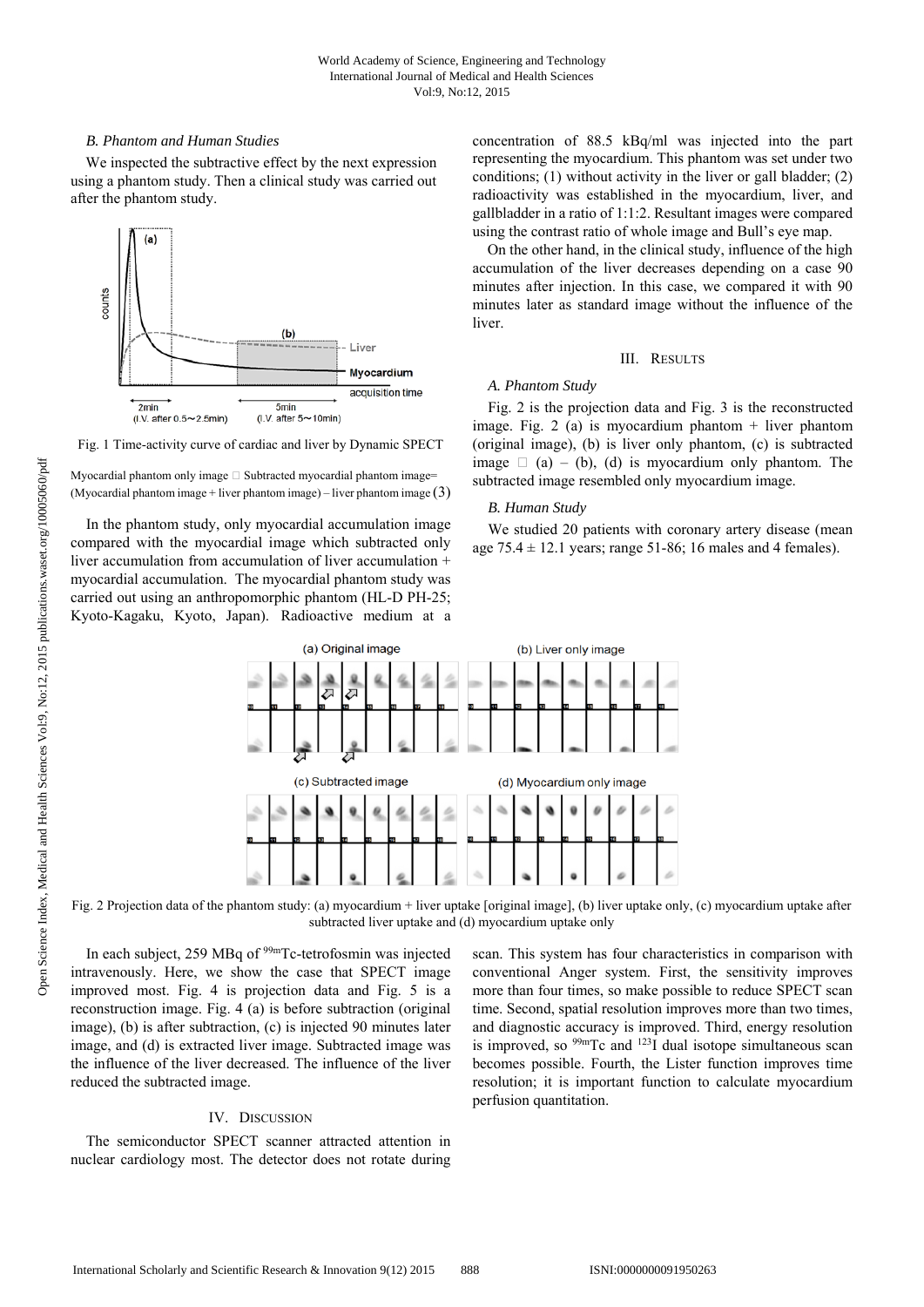# *B. Phantom and Human Studies*

We inspected the subtractive effect by the next expression using a phantom study. Then a clinical study was carried out after the phantom study.



Fig. 1 Time-activity curve of cardiac and liver by Dynamic SPECT

Myocardial phantom only image  $\Box$  Subtracted myocardial phantom image= (Myocardial phantom image + liver phantom image) – liver phantom image  $(3)$ 

In the phantom study, only myocardial accumulation image compared with the myocardial image which subtracted only liver accumulation from accumulation of liver accumulation + myocardial accumulation. The myocardial phantom study was carried out using an anthropomorphic phantom (HL-D PH-25; Kyoto-Kagaku, Kyoto, Japan). Radioactive medium at a concentration of 88.5 kBq/ml was injected into the part representing the myocardium. This phantom was set under two conditions; (1) without activity in the liver or gall bladder; (2) radioactivity was established in the myocardium, liver, and gallbladder in a ratio of 1:1:2. Resultant images were compared using the contrast ratio of whole image and Bull's eye map.

On the other hand, in the clinical study, influence of the high accumulation of the liver decreases depending on a case 90 minutes after injection. In this case, we compared it with 90 minutes later as standard image without the influence of the liver.

## III. RESULTS

# *A. Phantom Study*

Fig. 2 is the projection data and Fig. 3 is the reconstructed image. Fig. 2 (a) is myocardium phantom  $+$  liver phantom (original image), (b) is liver only phantom, (c) is subtracted image  $\Box$  (a) – (b), (d) is myocardium only phantom. The subtracted image resembled only myocardium image.

# *B. Human Study*

We studied 20 patients with coronary artery disease (mean age  $75.4 \pm 12.1$  years; range  $51-86$ ; 16 males and 4 females).



Fig. 2 Projection data of the phantom study: (a) myocardium + liver uptake [original image], (b) liver uptake only, (c) myocardium uptake after subtracted liver uptake and (d) myocardium uptake only

In each subject, 259 MBq of 99mTc-tetrofosmin was injected intravenously. Here, we show the case that SPECT image improved most. Fig. 4 is projection data and Fig. 5 is a reconstruction image. Fig. 4 (a) is before subtraction (original image), (b) is after subtraction, (c) is injected 90 minutes later image, and (d) is extracted liver image. Subtracted image was the influence of the liver decreased. The influence of the liver reduced the subtracted image.

# IV. DISCUSSION

The semiconductor SPECT scanner attracted attention in nuclear cardiology most. The detector does not rotate during scan. This system has four characteristics in comparison with conventional Anger system. First, the sensitivity improves more than four times, so make possible to reduce SPECT scan time. Second, spatial resolution improves more than two times, and diagnostic accuracy is improved. Third, energy resolution is improved, so  $99mTc$  and  $123\overline{1}$  dual isotope simultaneous scan becomes possible. Fourth, the Lister function improves time resolution; it is important function to calculate myocardium perfusion quantitation.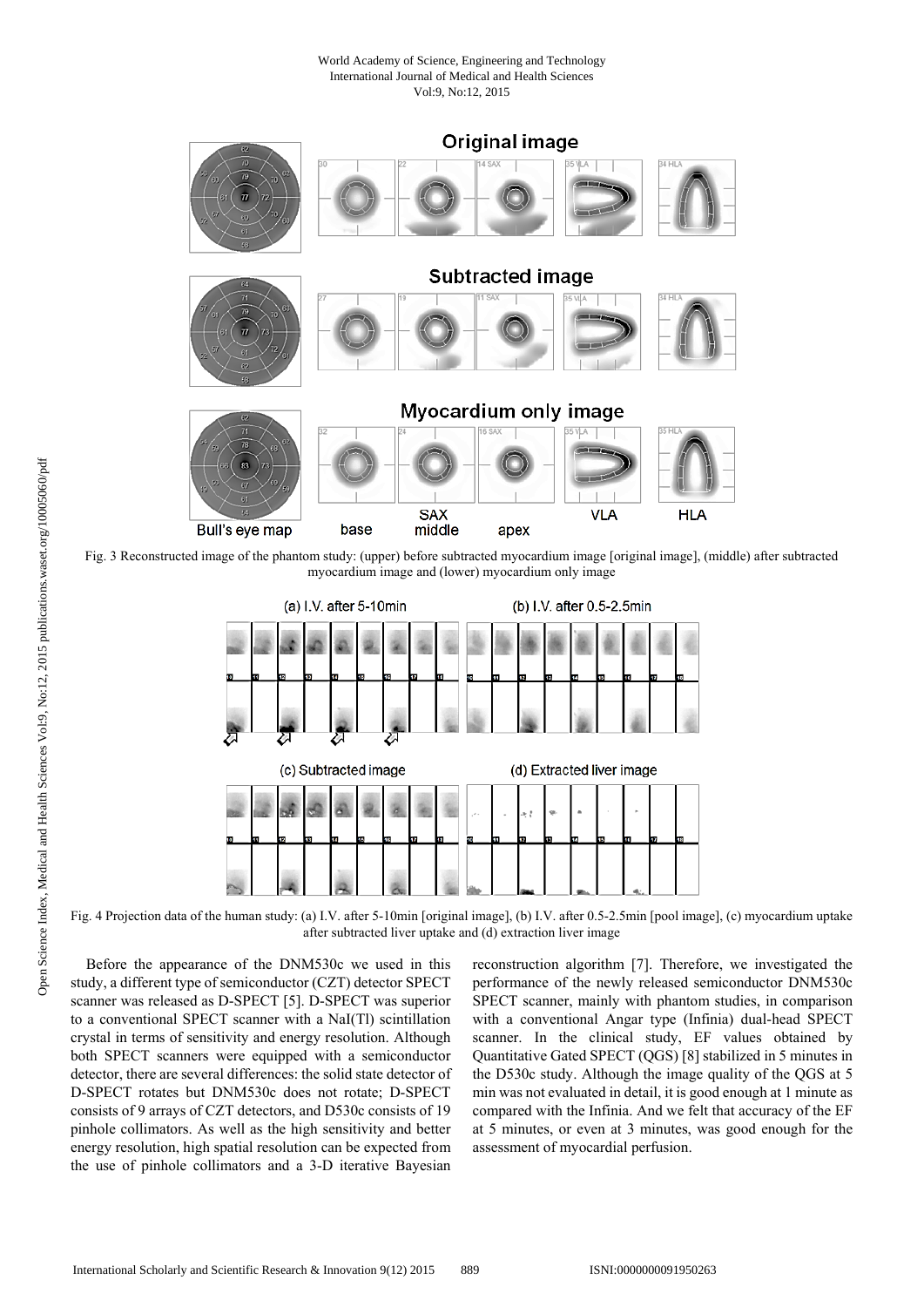## World Academy of Science, Engineering and Technology International Journal of Medical and Health Sciences Vol:9, No:12, 2015



Fig. 3 Reconstructed image of the phantom study: (upper) before subtracted myocardium image [original image], (middle) after subtracted myocardium image and (lower) myocardium only image



Fig. 4 Projection data of the human study: (a) I.V. after 5-10min [original image], (b) I.V. after 0.5-2.5min [pool image], (c) myocardium uptake after subtracted liver uptake and (d) extraction liver image

Before the appearance of the DNM530c we used in this study, a different type of semiconductor (CZT) detector SPECT scanner was released as D-SPECT [5]. D-SPECT was superior to a conventional SPECT scanner with a NaI(Tl) scintillation crystal in terms of sensitivity and energy resolution. Although both SPECT scanners were equipped with a semiconductor detector, there are several differences: the solid state detector of D-SPECT rotates but DNM530c does not rotate; D-SPECT consists of 9 arrays of CZT detectors, and D530c consists of 19 pinhole collimators. As well as the high sensitivity and better energy resolution, high spatial resolution can be expected from the use of pinhole collimators and a 3-D iterative Bayesian reconstruction algorithm [7]. Therefore, we investigated the performance of the newly released semiconductor DNM530c SPECT scanner, mainly with phantom studies, in comparison with a conventional Angar type (Infinia) dual-head SPECT scanner. In the clinical study, EF values obtained by Quantitative Gated SPECT (QGS) [8] stabilized in 5 minutes in the D530c study. Although the image quality of the QGS at 5 min was not evaluated in detail, it is good enough at 1 minute as compared with the Infinia. And we felt that accuracy of the EF at 5 minutes, or even at 3 minutes, was good enough for the assessment of myocardial perfusion.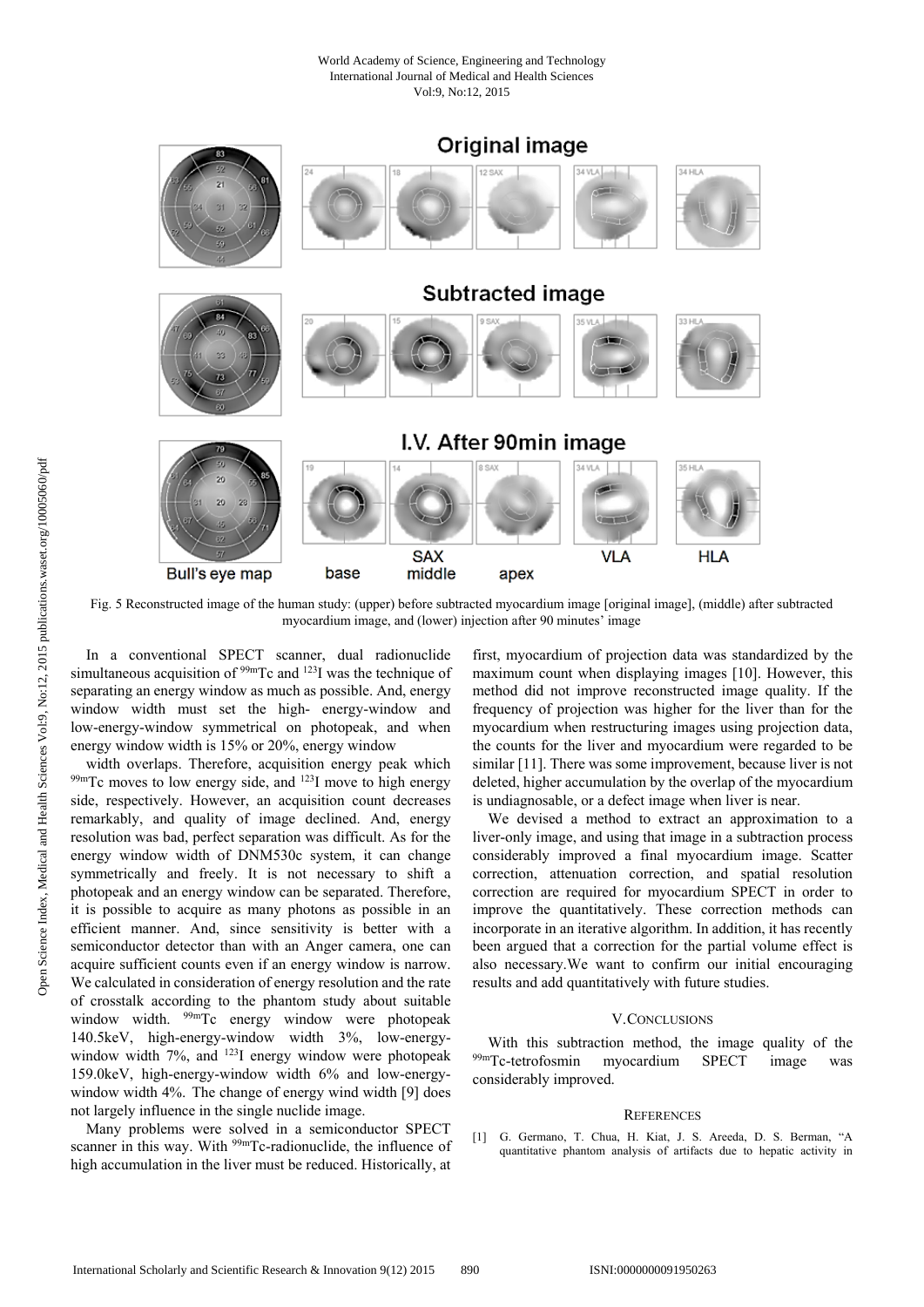### World Academy of Science, Engineering and Technology International Journal of Medical and Health Sciences Vol:9, No:12, 2015



Fig. 5 Reconstructed image of the human study: (upper) before subtracted myocardium image [original image], (middle) after subtracted myocardium image, and (lower) injection after 90 minutes' image

In a conventional SPECT scanner, dual radionuclide simultaneous acquisition of  $99m$ Tc and  $123$ I was the technique of separating an energy window as much as possible. And, energy window width must set the high- energy-window and low-energy-window symmetrical on photopeak, and when energy window width is 15% or 20%, energy window<br>width overlaps. Therefore, acquisition energy peak which

 $^{99m}$ Tc moves to low energy side, and  $^{123}$ I move to high energy side, respectively. However, an acquisition count decreases remarkably, and quality of image declined. And, energy resolution was bad, perfect separation was difficult. As for the energy window width of DNM530c system, it can change symmetrically and freely. It is not necessary to shift a photopeak and an energy window can be separated. Therefore, it is possible to acquire as many photons as possible in an efficient manner. And, since sensitivity is better with a semiconductor detector than with an Anger camera, one can acquire sufficient counts even if an energy window is narrow. We calculated in consideration of energy resolution and the rate of crosstalk according to the phantom study about suitable window width. <sup>99m</sup>Tc energy window were photopeak 140.5keV, high-energy-window width 3%, low-energywindow width  $7\%$ , and  $^{123}$ I energy window were photopeak 159.0keV, high-energy-window width 6% and low-energywindow width 4%. The change of energy wind width [9] does not largely influence in the single nuclide image.

Many problems were solved in a semiconductor SPECT scanner in this way. With <sup>99m</sup>Tc-radionuclide, the influence of high accumulation in the liver must be reduced. Historically, at

first, myocardium of projection data was standardized by the maximum count when displaying images [10]. However, this method did not improve reconstructed image quality. If the frequency of projection was higher for the liver than for the myocardium when restructuring images using projection data, the counts for the liver and myocardium were regarded to be similar [11]. There was some improvement, because liver is not deleted, higher accumulation by the overlap of the myocardium is undiagnosable, or a defect image when liver is near.

We devised a method to extract an approximation to a liver-only image, and using that image in a subtraction process considerably improved a final myocardium image. Scatter correction, attenuation correction, and spatial resolution correction are required for myocardium SPECT in order to improve the quantitatively. These correction methods can incorporate in an iterative algorithm. In addition, it has recently been argued that a correction for the partial volume effect is also necessary.We want to confirm our initial encouraging results and add quantitatively with future studies.

## V.CONCLUSIONS

With this subtraction method, the image quality of the 99mTc-tetrofosmin myocardium SPECT image was considerably improved.

## **REFERENCES**

[1] G. Germano, T. Chua, H. Kiat, J. S. Areeda, D. S. Berman, "A quantitative phantom analysis of artifacts due to hepatic activity in